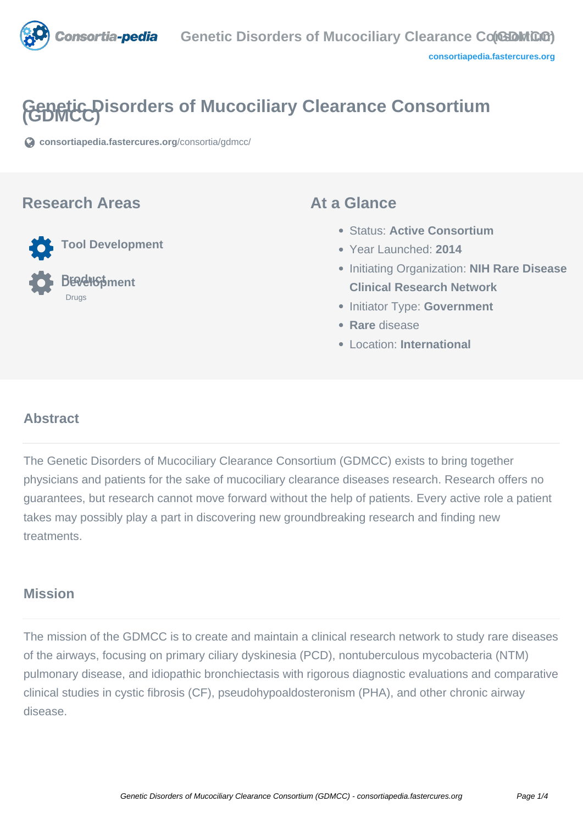

# **Genetic Disorders of Mucociliary Clearance Consortium (GDMCC)**

**[consortiapedia.fastercures.org](https://consortiapedia.fastercures.org/consortia/gdmcc/)**[/consortia/gdmcc/](https://consortiapedia.fastercures.org/consortia/gdmcc/)

#### **Research Areas**

 **Tool Development Product Development** Drugs

#### **At a Glance**

- Status: **Active Consortium**
- Year Launched: **2014**
- Initiating Organization: **NIH Rare Disease Clinical Research Network**
- **Initiator Type: Government**
- **Rare** disease
- Location: **International**

## **Abstract**

The Genetic Disorders of Mucociliary Clearance Consortium (GDMCC) exists to bring together physicians and patients for the sake of mucociliary clearance diseases research. Research offers no guarantees, but research cannot move forward without the help of patients. Every active role a patient takes may possibly play a part in discovering new groundbreaking research and finding new treatments.

## **Mission**

The mission of the GDMCC is to create and maintain a clinical research network to study rare diseases of the airways, focusing on primary ciliary dyskinesia (PCD), nontuberculous mycobacteria (NTM) pulmonary disease, and idiopathic bronchiectasis with rigorous diagnostic evaluations and comparative clinical studies in cystic fibrosis (CF), pseudohypoaldosteronism (PHA), and other chronic airway disease.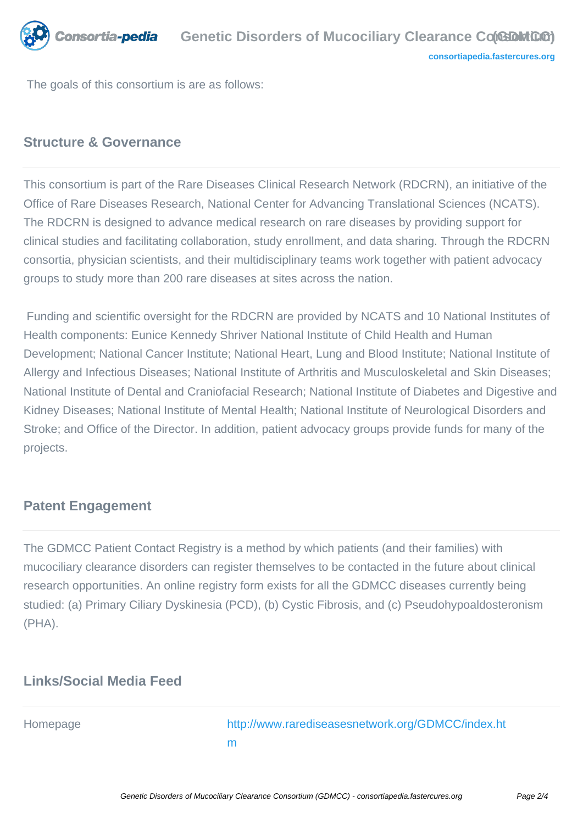

The goals of this consortium is are as follows:

# **Structure & Governance**

This consortium is part of the Rare Diseases Clinical Research Network (RDCRN), an initiative of the Office of Rare Diseases Research, National Center for Advancing Translational Sciences (NCATS). The RDCRN is designed to advance medical research on rare diseases by providing support for clinical studies and facilitating collaboration, study enrollment, and data sharing. Through the RDCRN consortia, physician scientists, and their multidisciplinary teams work together with patient advocacy groups to study more than 200 rare diseases at sites across the nation.

 Funding and scientific oversight for the RDCRN are provided by NCATS and 10 National Institutes of Health components: Eunice Kennedy Shriver National Institute of Child Health and Human Development; National Cancer Institute; National Heart, Lung and Blood Institute; National Institute of Allergy and Infectious Diseases; National Institute of Arthritis and Musculoskeletal and Skin Diseases; National Institute of Dental and Craniofacial Research; National Institute of Diabetes and Digestive and Kidney Diseases; National Institute of Mental Health; National Institute of Neurological Disorders and Stroke; and Office of the Director. In addition, patient advocacy groups provide funds for many of the projects.

#### **Patent Engagement**

The GDMCC Patient Contact Registry is a method by which patients (and their families) with mucociliary clearance disorders can register themselves to be contacted in the future about clinical research opportunities. An online registry form exists for all the GDMCC diseases currently being studied: (a) Primary Ciliary Dyskinesia (PCD), (b) Cystic Fibrosis, and (c) Pseudohypoaldosteronism (PHA).

# **Links/Social Media Feed**

Homepage [http://www.rarediseasesnetwork.org/GDMCC/index.ht](http://www.rarediseasesnetwork.org/GDMCC/index.htm) [m](http://www.rarediseasesnetwork.org/GDMCC/index.htm)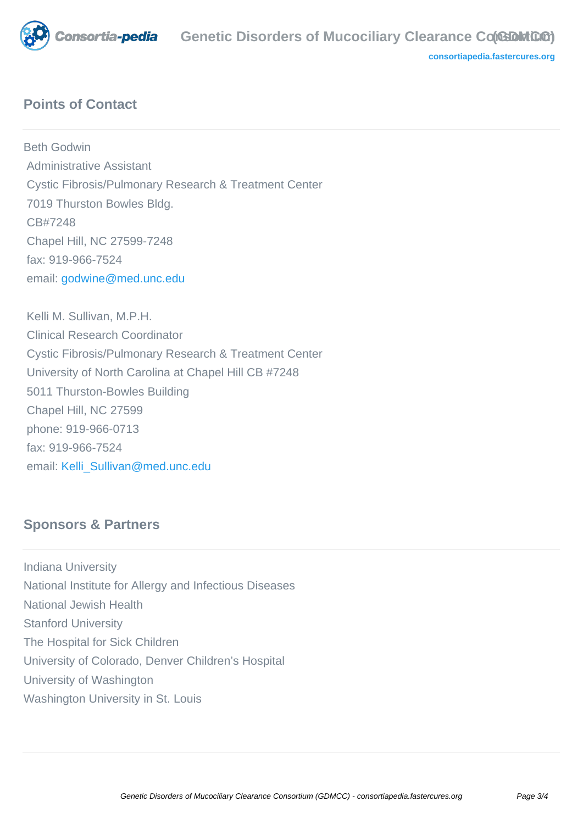

**[consortiapedia.fastercures.org](http://consortiapedia.fastercures.org/)**

# **Points of Contact**

Beth Godwin Administrative Assistant Cystic Fibrosis/Pulmonary Research & Treatment Center 7019 Thurston Bowles Bldg. CB#7248 Chapel Hill, NC 27599-7248 fax: 919-966-7524 email: [godwine@med.unc.edu](mailto:godwine@med.unc.edu)

 Kelli M. Sullivan, M.P.H. Clinical Research Coordinator Cystic Fibrosis/Pulmonary Research & Treatment Center University of North Carolina at Chapel Hill CB #7248 5011 Thurston-Bowles Building Chapel Hill, NC 27599 phone: 919-966-0713 fax: 919-966-7524 email: [Kelli\\_Sullivan@med.unc.edu](mailto:Kelli_Sullivan@med.unc.edu)

## **Sponsors & Partners**

Indiana University National Institute for Allergy and Infectious Diseases National Jewish Health Stanford University The Hospital for Sick Children University of Colorado, Denver Children's Hospital University of Washington Washington University in St. Louis